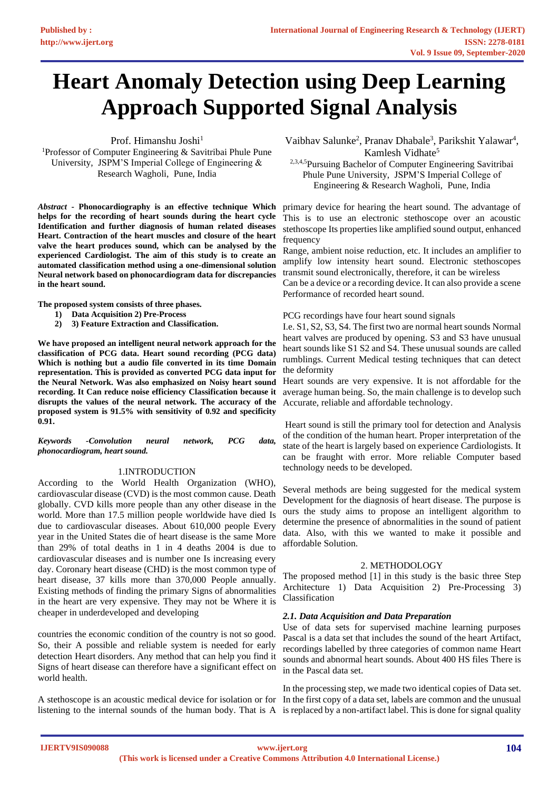# **Heart Anomaly Detection using Deep Learning Approach Supported Signal Analysis**

Prof. Himanshu Joshi<sup>1</sup>

<sup>1</sup>Professor of Computer Engineering & Savitribai Phule Pune University, JSPM'S Imperial College of Engineering & Research Wagholi, Pune, India

*Abstract* **- Phonocardiography is an effective technique Which helps for the recording of heart sounds during the heart cycle Identification and further diagnosis of human related diseases Heart. Contraction of the heart muscles and closure of the heart valve the heart produces sound, which can be analysed by the experienced Cardiologist. The aim of this study is to create an automated classification method using a one-dimensional solution Neural network based on phonocardiogram data for discrepancies in the heart sound.**

**The proposed system consists of three phases.**

- **1) Data Acquisition 2) Pre-Process**
- **2) 3) Feature Extraction and Classification.**

**We have proposed an intelligent neural network approach for the classification of PCG data. Heart sound recording (PCG data) Which is nothing but a audio file converted in its time Domain representation. This is provided as converted PCG data input for the Neural Network. Was also emphasized on Noisy heart sound recording. It Can reduce noise efficiency Classification because it disrupts the values of the neural network. The accuracy of the proposed system is 91.5% with sensitivity of 0.92 and specificity 0.91.**

*Keywords -Convolution neural network, PCG data, phonocardiogram, heart sound.* 

## 1.INTRODUCTION

According to the World Health Organization (WHO), cardiovascular disease (CVD) is the most common cause. Death globally. CVD kills more people than any other disease in the world. More than 17.5 million people worldwide have died Is due to cardiovascular diseases. About 610,000 people Every year in the United States die of heart disease is the same More than 29% of total deaths in 1 in 4 deaths 2004 is due to cardiovascular diseases and is number one Is increasing every day. Coronary heart disease (CHD) is the most common type of heart disease, 37 kills more than 370,000 People annually. Existing methods of finding the primary Signs of abnormalities in the heart are very expensive. They may not be Where it is cheaper in underdeveloped and developing

countries the economic condition of the country is not so good. So, their A possible and reliable system is needed for early detection Heart disorders. Any method that can help you find it Signs of heart disease can therefore have a significant effect on world health.

A stethoscope is an acoustic medical device for isolation or for In the first copy of a data set, labels are common and the unusual listening to the internal sounds of the human body. That is A is replaced by a non-artifact label. This is done for signal quality

Vaibhav Salunke<sup>2</sup>, Pranav Dhabale<sup>3</sup>, Parikshit Yalawar<sup>4</sup>, Kamlesh Vidhate<sup>5</sup>

2,3,4,5Pursuing Bachelor of Computer Engineering Savitribai Phule Pune University, JSPM'S Imperial College of Engineering & Research Wagholi, Pune, India

primary device for hearing the heart sound. The advantage of This is to use an electronic stethoscope over an acoustic stethoscope Its properties like amplified sound output, enhanced frequency

Range, ambient noise reduction, etc. It includes an amplifier to amplify low intensity heart sound. Electronic stethoscopes transmit sound electronically, therefore, it can be wireless

Can be a device or a recording device. It can also provide a scene Performance of recorded heart sound.

## PCG recordings have four heart sound signals

I.e. S1, S2, S3, S4. The first two are normal heart sounds Normal heart valves are produced by opening. S3 and S3 have unusual heart sounds like S1 S2 and S4. These unusual sounds are called rumblings. Current Medical testing techniques that can detect the deformity

Heart sounds are very expensive. It is not affordable for the average human being. So, the main challenge is to develop such Accurate, reliable and affordable technology.

Heart sound is still the primary tool for detection and Analysis of the condition of the human heart. Proper interpretation of the state of the heart is largely based on experience Cardiologists. It can be fraught with error. More reliable Computer based technology needs to be developed.

Several methods are being suggested for the medical system Development for the diagnosis of heart disease. The purpose is ours the study aims to propose an intelligent algorithm to determine the presence of abnormalities in the sound of patient data. Also, with this we wanted to make it possible and affordable Solution.

## 2. METHODOLOGY

The proposed method [1] in this study is the basic three Step Architecture 1) Data Acquisition 2) Pre-Processing 3) Classification

# *2.1. Data Acquisition and Data Preparation*

Use of data sets for supervised machine learning purposes Pascal is a data set that includes the sound of the heart Artifact, recordings labelled by three categories of common name Heart sounds and abnormal heart sounds. About 400 HS files There is in the Pascal data set.

In the processing step, we made two identical copies of Data set.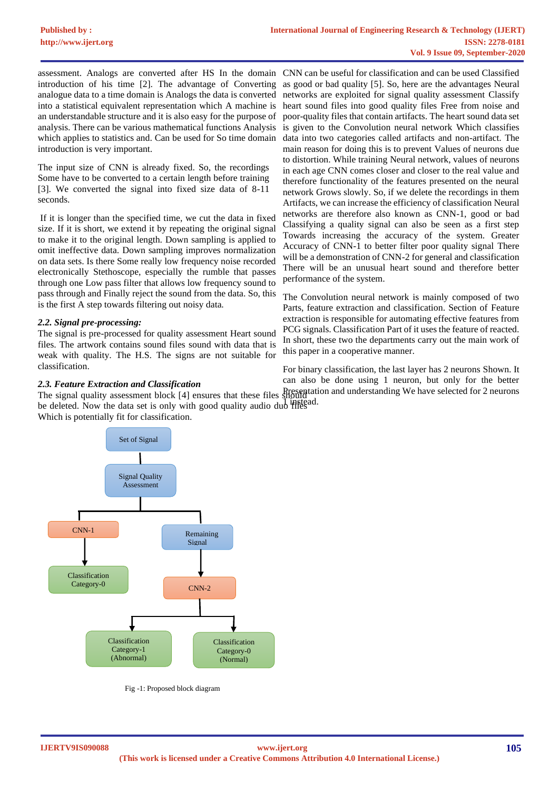assessment. Analogs are converted after HS In the domain CNN can be useful for classification and can be used Classified introduction of his time [2]. The advantage of Converting as good or bad quality [5]. So, here are the advantages Neural analogue data to a time domain is Analogs the data is converted into a statistical equivalent representation which A machine is an understandable structure and it is also easy for the purpose of analysis. There can be various mathematical functions Analysis is given to the Convolution neural network Which classifies which applies to statistics and. Can be used for So time domain introduction is very important.

The input size of CNN is already fixed. So, the recordings Some have to be converted to a certain length before training [3]. We converted the signal into fixed size data of 8-11 seconds.

If it is longer than the specified time, we cut the data in fixed size. If it is short, we extend it by repeating the original signal to make it to the original length. Down sampling is applied to omit ineffective data. Down sampling improves normalization on data sets. Is there Some really low frequency noise recorded electronically Stethoscope, especially the rumble that passes through one Low pass filter that allows low frequency sound to pass through and Finally reject the sound from the data. So, this is the first A step towards filtering out noisy data.

# *2.2. Signal pre-processing:*

The signal is pre-processed for quality assessment Heart sound files. The artwork contains sound files sound with data that is weak with quality. The H.S. The signs are not suitable for classification.

# *2.3. Feature Extraction and Classification*

the signal quality assessment crock [1] ensures and mese fires in instead.<br>be deleted. Now the data set is only with good quality audio duo files Which is potentially fit for classification.



Fig -1: Proposed block diagram

networks are exploited for signal quality assessment Classify heart sound files into good quality files Free from noise and poor-quality files that contain artifacts. The heart sound data set data into two categories called artifacts and non-artifact. The main reason for doing this is to prevent Values of neurons due to distortion. While training Neural network, values of neurons in each age CNN comes closer and closer to the real value and therefore functionality of the features presented on the neural network Grows slowly. So, if we delete the recordings in them Artifacts, we can increase the efficiency of classification Neural networks are therefore also known as CNN-1, good or bad Classifying a quality signal can also be seen as a first step Towards increasing the accuracy of the system. Greater Accuracy of CNN-1 to better filter poor quality signal There will be a demonstration of CNN-2 for general and classification There will be an unusual heart sound and therefore better performance of the system.

The Convolution neural network is mainly composed of two Parts, feature extraction and classification. Section of Feature extraction is responsible for automating effective features from PCG signals. Classification Part of it uses the feature of reacted. In short, these two the departments carry out the main work of this paper in a cooperative manner.

The signal quality assessment block [4] ensures that these files should Presentation and understanding We have selected for 2 neurons For binary classification, the last layer has 2 neurons Shown. It can also be done using 1 neuron, but only for the better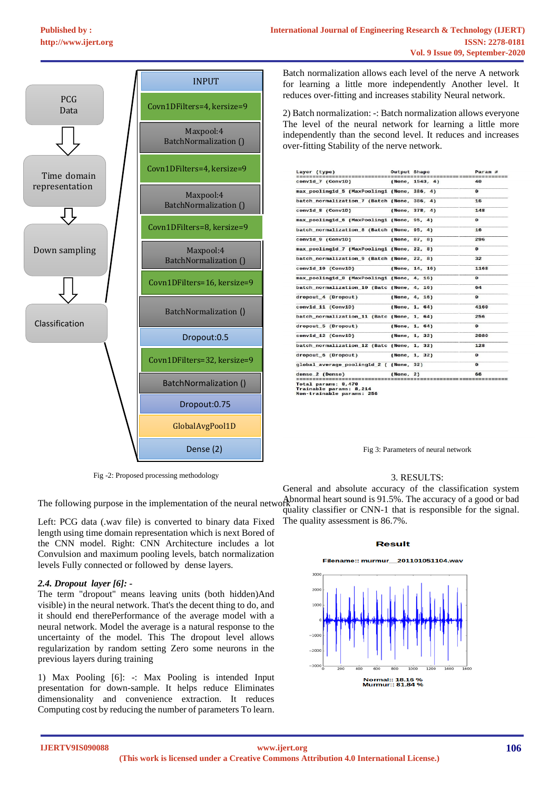

Fig -2: Proposed processing methodology

Left: PCG data (.wav file) is converted to binary data Fixed length using time domain representation which is next Bored of the CNN model. Right: CNN Architecture includes a lot Convulsion and maximum pooling levels, batch normalization levels Fully connected or followed by dense layers.

## *2.4. Dropout layer [6]: -*

The term "dropout" means leaving units (both hidden)And visible) in the neural network. That's the decent thing to do, and it should end therePerformance of the average model with a neural network. Model the average is a natural response to the uncertainty of the model. This The dropout level allows regularization by random setting Zero some neurons in the previous layers during training

1) Max Pooling [6]: -: Max Pooling is intended Input presentation for down-sample. It helps reduce Eliminates dimensionality and convenience extraction. It reduces Computing cost by reducing the number of parameters To learn.

Batch normalization allows each level of the nerve A network for learning a little more independently Another level. It reduces over-fitting and increases stability Neural network.

2) Batch normalization: -: Batch normalization allows everyone The level of the neural network for learning a little more independently than the second level. It reduces and increases over-fitting Stability of the nerve network.

| Layer (type)                                | <b>Output Shape</b> |                    | Param #  |
|---------------------------------------------|---------------------|--------------------|----------|
| convid 7 (ConviD)                           |                     | (None, $1543, 4$ ) | 48       |
| max poolingid 5 (MaxPoolingi (None, 386, 4) |                     |                    | Θ        |
| batch normalization 7 (Batch (None, 386, 4) |                     |                    | 16       |
| conv1d 8 (Conv1D)                           |                     | (None, 378, 4)     | 148      |
| max_pooling1d_6 (MaxPooling1 (None, 95, 4)  |                     |                    | Θ        |
| batch_normalization_8 (Batch (None, 95, 4)  |                     |                    | 16       |
| conv1d 9 (Conv1D)                           |                     | (None, 87, 8)      | 296      |
| max pooling1d 7 (MaxPooling1 (None, 22, 8)  |                     |                    | Θ        |
| batch normalization 9 (Batch (None, 22, 8)  |                     |                    | 32       |
| convid 10 (ConviD)                          |                     | (None, 14, 16)     | 1168     |
| max pooling1d 8 (MaxPooling1 (None, 4, 16)  |                     |                    | $\theta$ |
| batch_normalization_10 (Batc (None, 4, 16)  |                     |                    | 64       |
| dropout 4 (Dropout)                         |                     | (None, 4, 16)      | Θ        |
| convid 11 (ConviD)                          |                     | (None, 1, 64)      | 4160     |
| batch_normalization_11 (Batc (None, 1, 64)  |                     |                    | 256      |
| dropout 5 (Dropout)                         |                     | (None, 1, 64)      | $\theta$ |
| convid 12 (ConviD)                          |                     | (None, 1, 32)      | 2080     |
| batch normalization 12 (Batc (None, 1, 32)  |                     |                    | 128      |
| dropout 6 (Dropout)                         |                     | (None, 1, 32)      | e        |
| qlobal average pooling1d 2 ( (None, 32)     |                     |                    | $\theta$ |
| dense 2 (Dense)                             | (None, 2)           |                    | 66       |

Fig 3: Parameters of neural network

## 3. RESULTS:

The following purpose in the implementation of the neural network Abnormal heart sound is 91.5%. The accuracy of a good or bad General and absolute accuracy of the classification system quality classifier or CNN-1 that is responsible for the signal. The quality assessment is 86.7%.

#### **Result**

Filename:: murmur 201101051104.way